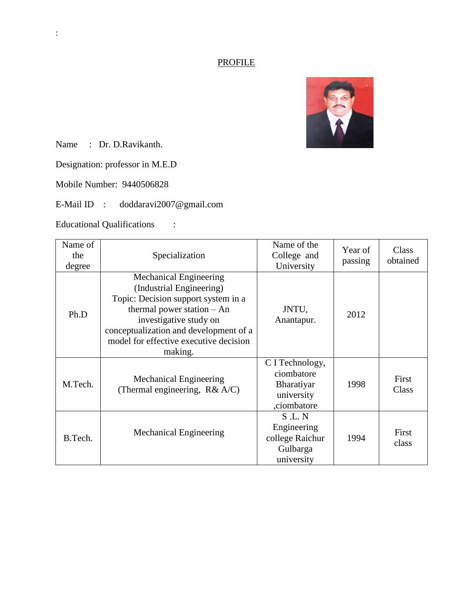# **PROFILE**



Name : Dr. D.Ravikanth.

Designation: professor in M.E.D

Mobile Number: 9440506828

E-Mail ID : doddaravi2007@gmail.com

Educational Qualifications :

| Name of<br>the<br>degree | Specialization                                                                                                                                                                                                                                            | Name of the<br>College and<br>University                                 | Year of<br>passing | Class<br>obtained |
|--------------------------|-----------------------------------------------------------------------------------------------------------------------------------------------------------------------------------------------------------------------------------------------------------|--------------------------------------------------------------------------|--------------------|-------------------|
| Ph.D                     | <b>Mechanical Engineering</b><br>(Industrial Engineering)<br>Topic: Decision support system in a<br>thermal power station $-$ An<br>investigative study on<br>conceptualization and development of a<br>model for effective executive decision<br>making. | JNTU,<br>Anantapur.                                                      | 2012               |                   |
| M.Tech.                  | <b>Mechanical Engineering</b><br>(Thermal engineering, $R& A/C$ )                                                                                                                                                                                         | C I Technology,<br>ciombatore<br>Bharatiyar<br>university<br>,ciombatore | 1998               | First<br>Class    |
| B.Tech.                  | Mechanical Engineering                                                                                                                                                                                                                                    | S.L.N<br>Engineering<br>college Raichur<br>Gulbarga<br>university        | 1994               | First<br>class    |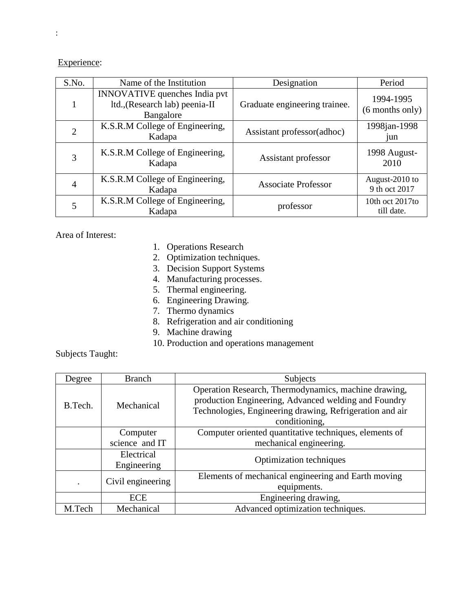Experience:

| S.No. | Name of the Institution                                                             | Designation                   | Period                          |
|-------|-------------------------------------------------------------------------------------|-------------------------------|---------------------------------|
|       | <b>INNOVATIVE</b> quenches India pvt<br>ltd., (Research lab) peenia-II<br>Bangalore | Graduate engineering trainee. | 1994-1995<br>(6 months only)    |
| 2     | K.S.R.M College of Engineering,<br>Kadapa                                           | Assistant professor(adhoc)    | 1998jan-1998<br>jun             |
| 3     | K.S.R.M College of Engineering,<br>Kadapa                                           | Assistant professor           | 1998 August-<br>2010            |
| 4     | K.S.R.M College of Engineering,<br>Kadapa                                           | <b>Associate Professor</b>    | August-2010 to<br>9 th oct 2017 |
|       | K.S.R.M College of Engineering,<br>Kadapa                                           | professor                     | 10th oct 2017to<br>till date.   |

Area of Interest:

- 1. Operations Research
- 2. Optimization techniques.
- 3. Decision Support Systems
- 4. Manufacturing processes.
- 5. Thermal engineering.
- 6. Engineering Drawing.
- 7. Thermo dynamics
- 8. Refrigeration and air conditioning
- 9. Machine drawing
- 10. Production and operations management

Subjects Taught:

| Degree  | <b>Branch</b>     | Subjects                                                 |  |
|---------|-------------------|----------------------------------------------------------|--|
|         |                   | Operation Research, Thermodynamics, machine drawing,     |  |
| B.Tech. | Mechanical        | production Engineering, Advanced welding and Foundry     |  |
|         |                   | Technologies, Engineering drawing, Refrigeration and air |  |
|         |                   | conditioning,                                            |  |
|         | Computer          | Computer oriented quantitative techniques, elements of   |  |
|         | science and IT    | mechanical engineering.                                  |  |
|         | Electrical        | Optimization techniques                                  |  |
|         | Engineering       |                                                          |  |
|         | Civil engineering | Elements of mechanical engineering and Earth moving      |  |
|         |                   | equipments.                                              |  |
|         | <b>ECE</b>        | Engineering drawing,                                     |  |
| M.Tech  | Mechanical        | Advanced optimization techniques.                        |  |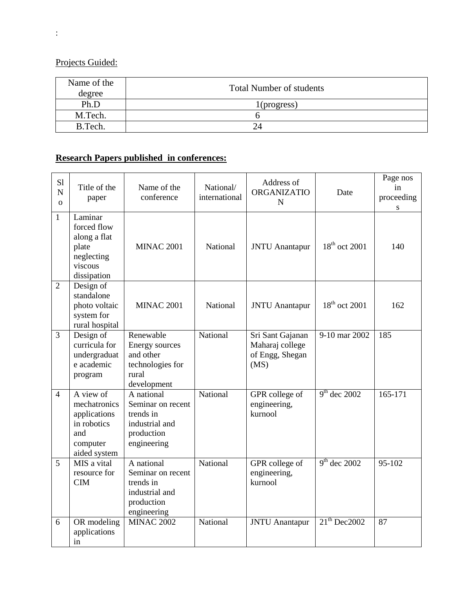Projects Guided:

| Name of the<br>degree | <b>Total Number of students</b> |
|-----------------------|---------------------------------|
| Ph.D                  | $1$ (progress)                  |
| M.Tech.               |                                 |
| B.Tech.               | 24                              |

# **Research Papers published in conferences:**

| S1<br>$\mathbf N$<br>$\Omega$ | Title of the<br>paper                                                                       | Name of the<br>conference                                                                   | National/<br>international | Address of<br><b>ORGANIZATIO</b><br>$\mathbf N$                | Date                      | Page nos<br>in<br>proceeding<br>S |
|-------------------------------|---------------------------------------------------------------------------------------------|---------------------------------------------------------------------------------------------|----------------------------|----------------------------------------------------------------|---------------------------|-----------------------------------|
| $\mathbf{1}$                  | Laminar<br>forced flow<br>along a flat<br>plate<br>neglecting<br>viscous<br>dissipation     | <b>MINAC 2001</b>                                                                           | National                   | <b>JNTU</b> Anantapur                                          | 18 <sup>th</sup> oct 2001 | 140                               |
| $\overline{2}$                | Design of<br>standalone<br>photo voltaic<br>system for<br>rural hospital                    | <b>MINAC 2001</b>                                                                           | National                   | <b>JNTU</b> Anantapur                                          | $18th$ oct 2001           | 162                               |
| $\overline{3}$                | Design of<br>curricula for<br>undergraduat<br>e academic<br>program                         | Renewable<br>Energy sources<br>and other<br>technologies for<br>rural<br>development        | National                   | Sri Sant Gajanan<br>Maharaj college<br>of Engg, Shegan<br>(MS) | 9-10 mar 2002             | 185                               |
| $\overline{4}$                | A view of<br>mechatronics<br>applications<br>in robotics<br>and<br>computer<br>aided system | A national<br>Seminar on recent<br>trends in<br>industrial and<br>production<br>engineering | National                   | GPR college of<br>engineering,<br>kurnool                      | $9th$ dec 2002            | $165 - 171$                       |
| 5                             | MIS a vital<br>resource for<br><b>CIM</b>                                                   | A national<br>Seminar on recent<br>trends in<br>industrial and<br>production<br>engineering | National                   | GPR college of<br>engineering,<br>kurnool                      | $9th$ dec 2002            | 95-102                            |
| 6                             | OR modeling<br>applications<br>in                                                           | <b>MINAC 2002</b>                                                                           | National                   | <b>JNTU</b> Anantapur                                          | $21th$ Dec2002            | 87                                |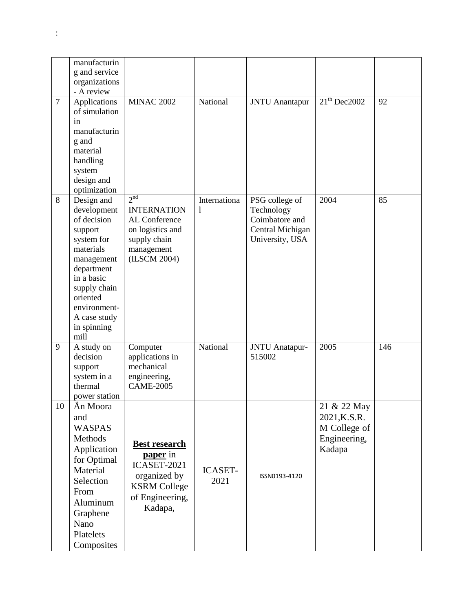|                | manufacturin              |                                  |                |                       |                |     |
|----------------|---------------------------|----------------------------------|----------------|-----------------------|----------------|-----|
|                | g and service             |                                  |                |                       |                |     |
|                | organizations             |                                  |                |                       |                |     |
|                | - A review                |                                  |                |                       |                |     |
| $\overline{7}$ | Applications              | <b>MINAC 2002</b>                | National       | <b>JNTU</b> Anantapur | $21th$ Dec2002 | 92  |
|                | of simulation             |                                  |                |                       |                |     |
|                | in                        |                                  |                |                       |                |     |
|                | manufacturin              |                                  |                |                       |                |     |
|                | g and                     |                                  |                |                       |                |     |
|                | material                  |                                  |                |                       |                |     |
|                | handling                  |                                  |                |                       |                |     |
|                | system<br>design and      |                                  |                |                       |                |     |
|                | optimization              |                                  |                |                       |                |     |
| 8              | Design and                | 2 <sup>nd</sup>                  | Internationa   | PSG college of        | 2004           | 85  |
|                | development               | <b>INTERNATION</b>               | 1              | Technology            |                |     |
|                | of decision               | AL Conference                    |                | Coimbatore and        |                |     |
|                | support                   | on logistics and                 |                | Central Michigan      |                |     |
|                | system for                | supply chain                     |                | University, USA       |                |     |
|                | materials                 | management                       |                |                       |                |     |
|                | management                | (ILSCM 2004)                     |                |                       |                |     |
|                | department                |                                  |                |                       |                |     |
|                | in a basic                |                                  |                |                       |                |     |
|                | supply chain              |                                  |                |                       |                |     |
|                | oriented                  |                                  |                |                       |                |     |
|                | environment-              |                                  |                |                       |                |     |
|                | A case study              |                                  |                |                       |                |     |
|                | in spinning               |                                  |                |                       |                |     |
|                | mill                      |                                  |                |                       |                |     |
| 9              | A study on                | Computer                         | National       | JNTU Anatapur-        | 2005           | 146 |
|                | decision                  | applications in                  |                | 515002                |                |     |
|                | support                   | mechanical                       |                |                       |                |     |
|                | system in a               | engineering,<br><b>CAME-2005</b> |                |                       |                |     |
|                | thermal                   |                                  |                |                       |                |     |
| 10             | power station<br>Än Moora |                                  |                |                       | 21 & 22 May    |     |
|                | and                       |                                  |                |                       |                |     |
|                |                           |                                  |                |                       | 2021, K.S.R.   |     |
|                | <b>WASPAS</b>             |                                  |                |                       | M College of   |     |
|                | Methods                   | <b>Best research</b>             |                |                       | Engineering,   |     |
|                | Application               | <b>paper</b> in                  |                |                       | Kadapa         |     |
|                | for Optimal               | ICASET-2021                      |                |                       |                |     |
|                | Material                  | organized by                     | <b>ICASET-</b> | ISSN0193-4120         |                |     |
|                | Selection                 | <b>KSRM College</b>              | 2021           |                       |                |     |
|                | From                      | of Engineering,                  |                |                       |                |     |
|                | Aluminum                  | Kadapa,                          |                |                       |                |     |
|                | Graphene                  |                                  |                |                       |                |     |
|                | Nano                      |                                  |                |                       |                |     |
|                | Platelets                 |                                  |                |                       |                |     |
|                | Composites                |                                  |                |                       |                |     |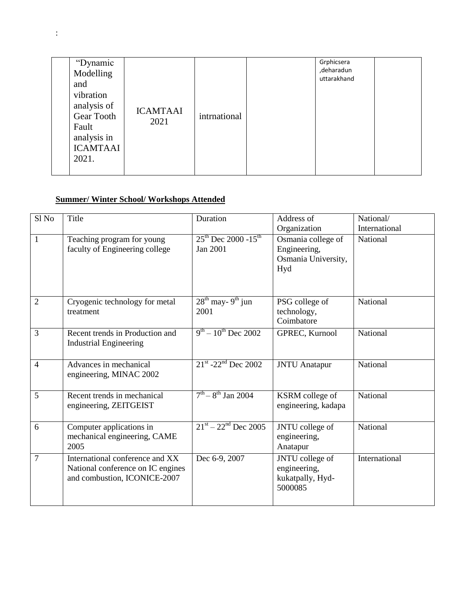|  | "Dynamic<br>Modelling<br>and<br>vibration<br>analysis of<br>Gear Tooth<br>Fault<br>analysis in<br><b>ICAMTAAI</b><br>2021. | <b>ICAMTAAI</b><br>2021 | intrnational |  | Grphicsera<br>,deharadun<br>uttarakhand |  |
|--|----------------------------------------------------------------------------------------------------------------------------|-------------------------|--------------|--|-----------------------------------------|--|
|--|----------------------------------------------------------------------------------------------------------------------------|-------------------------|--------------|--|-----------------------------------------|--|

## **Summer/ Winter School/ Workshops Attended**

| Sl <sub>No</sub> | Title                                                                                                | Duration                                                | Address of<br>Organization                                       | National/<br>International |
|------------------|------------------------------------------------------------------------------------------------------|---------------------------------------------------------|------------------------------------------------------------------|----------------------------|
| $\mathbf{1}$     | Teaching program for young<br>faculty of Engineering college                                         | $25^{th}$ Dec 2000 -15 <sup>th</sup><br><b>Jan 2001</b> | Osmania college of<br>Engineering,<br>Osmania University,<br>Hyd | National                   |
| $\overline{2}$   | Cryogenic technology for metal<br>treatment                                                          | $28th$ may-9 <sup>th</sup> jun<br>2001                  | PSG college of<br>technology,<br>Coimbatore                      | National                   |
| 3                | Recent trends in Production and<br><b>Industrial Engineering</b>                                     | $9^{th} - 10^{th}$ Dec 2002                             | GPREC, Kurnool                                                   | National                   |
| $\overline{4}$   | Advances in mechanical<br>engineering, MINAC 2002                                                    | $21^{st}$ -22 <sup>nd</sup> Dec 2002                    | <b>JNTU</b> Anatapur                                             | National                   |
| 5                | Recent trends in mechanical<br>engineering, ZEITGEIST                                                | $7th - 8th$ Jan 2004                                    | KSRM college of<br>engineering, kadapa                           | National                   |
| 6                | Computer applications in<br>mechanical engineering, CAME<br>2005                                     | $21^{st} - 22^{nd}$ Dec 2005                            | JNTU college of<br>engineering,<br>Anatapur                      | National                   |
| 7                | International conference and XX<br>National conference on IC engines<br>and combustion, ICONICE-2007 | Dec 6-9, 2007                                           | JNTU college of<br>engineering,<br>kukatpally, Hyd-<br>5000085   | International              |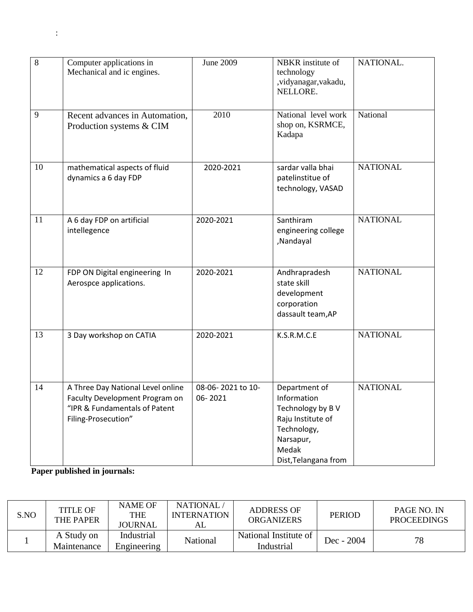| 8  | Computer applications in<br>Mechanical and ic engines.                                                                      | <b>June 2009</b>             | NBKR institute of<br>technology<br>,vidyanagar,vakadu,<br>NELLORE.                                                                 | NATIONAL.       |
|----|-----------------------------------------------------------------------------------------------------------------------------|------------------------------|------------------------------------------------------------------------------------------------------------------------------------|-----------------|
| 9  | Recent advances in Automation,<br>Production systems & CIM                                                                  | 2010                         | National level work<br>shop on, KSRMCE,<br>Kadapa                                                                                  | National        |
| 10 | mathematical aspects of fluid<br>dynamics a 6 day FDP                                                                       | 2020-2021                    | sardar valla bhai<br>patelinstitue of<br>technology, VASAD                                                                         | <b>NATIONAL</b> |
| 11 | A 6 day FDP on artificial<br>intellegence                                                                                   | 2020-2021                    | Santhiram<br>engineering college<br>,Nandayal                                                                                      | <b>NATIONAL</b> |
| 12 | FDP ON Digital engineering In<br>Aerospce applications.                                                                     | 2020-2021                    | Andhrapradesh<br>state skill<br>development<br>corporation<br>dassault team, AP                                                    | <b>NATIONAL</b> |
| 13 | 3 Day workshop on CATIA                                                                                                     | 2020-2021                    | K.S.R.M.C.E                                                                                                                        | <b>NATIONAL</b> |
| 14 | A Three Day National Level online<br>Faculty Development Program on<br>"IPR & Fundamentals of Patent<br>Filing-Prosecution" | 08-06-2021 to 10-<br>06-2021 | Department of<br>Information<br>Technology by BV<br>Raju Institute of<br>Technology,<br>Narsapur,<br>Medak<br>Dist, Telangana from | <b>NATIONAL</b> |

**Paper published in journals:**

| S.NO | <b>TITLE OF</b><br><b>THE PAPER</b> | <b>NAME OF</b><br><b>THE</b><br><b>JOURNAL</b> | NATIONAL.<br><b>INTERNATION</b><br>AL | <b>ADDRESS OF</b><br><b>ORGANIZERS</b> | <b>PERIOD</b> | <b>PAGE NO. IN</b><br><b>PROCEEDINGS</b> |
|------|-------------------------------------|------------------------------------------------|---------------------------------------|----------------------------------------|---------------|------------------------------------------|
|      | A Study on<br>Maintenance           | Industrial<br>Engineering                      | National                              | National Institute of<br>Industrial    | Dec - $2004$  | 78                                       |

: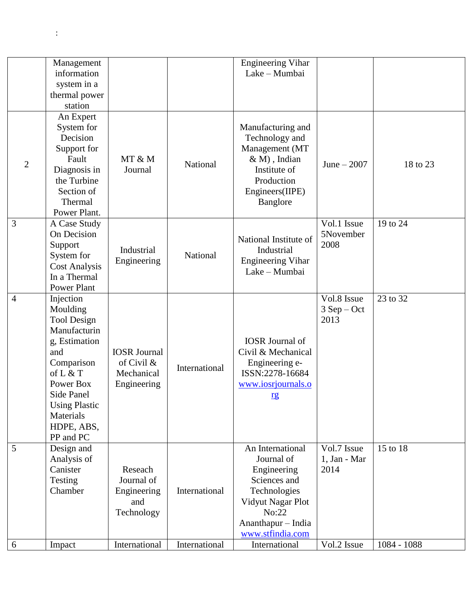|                | Management<br>information           |                     |               | <b>Engineering Vihar</b><br>Lake - Mumbai |                   |             |
|----------------|-------------------------------------|---------------------|---------------|-------------------------------------------|-------------------|-------------|
|                | system in a                         |                     |               |                                           |                   |             |
|                | thermal power                       |                     |               |                                           |                   |             |
|                | station                             |                     |               |                                           |                   |             |
|                | An Expert<br>System for<br>Decision |                     |               | Manufacturing and<br>Technology and       |                   |             |
|                | Support for                         |                     |               | Management (MT                            |                   |             |
| $\overline{2}$ | Fault                               | MT & M              | National      | $& M$ ), Indian                           | June $-2007$      | 18 to 23    |
|                | Diagnosis in                        | Journal             |               | Institute of                              |                   |             |
|                | the Turbine                         |                     |               | Production                                |                   |             |
|                | Section of                          |                     |               | Engineers(IIPE)                           |                   |             |
|                | Thermal                             |                     |               | Banglore                                  |                   |             |
|                | Power Plant.                        |                     |               |                                           |                   |             |
| $\overline{3}$ | A Case Study                        |                     |               |                                           | Vol.1 Issue       | 19 to 24    |
|                | On Decision                         |                     |               | National Institute of                     | 5November<br>2008 |             |
|                | Support<br>System for               | Industrial          | National      | Industrial                                |                   |             |
|                | <b>Cost Analysis</b>                | Engineering         |               | <b>Engineering Vihar</b>                  |                   |             |
|                | In a Thermal                        |                     |               | Lake - Mumbai                             |                   |             |
|                | Power Plant                         |                     |               |                                           |                   |             |
| $\overline{4}$ | Injection                           |                     |               |                                           | Vol.8 Issue       | 23 to 32    |
|                | Moulding                            |                     |               |                                           | $3$ Sep – Oct     |             |
|                | <b>Tool Design</b>                  |                     |               |                                           | 2013              |             |
|                | Manufacturin                        |                     |               |                                           |                   |             |
|                | g, Estimation                       |                     |               | <b>IOSR</b> Journal of                    |                   |             |
|                | and                                 | <b>IOSR</b> Journal |               | Civil & Mechanical                        |                   |             |
|                | Comparison                          | of Civil &          | International | Engineering e-                            |                   |             |
|                | of L & T                            | Mechanical          |               | ISSN:2278-16684                           |                   |             |
|                | Power Box                           | Engineering         |               | www.iosrjournals.o                        |                   |             |
|                | Side Panel                          |                     |               | rg                                        |                   |             |
|                | <b>Using Plastic</b><br>Materials   |                     |               |                                           |                   |             |
|                | HDPE, ABS,                          |                     |               |                                           |                   |             |
|                | PP and PC                           |                     |               |                                           |                   |             |
| 5              | Design and                          |                     |               | An International                          | Vol.7 Issue       | 15 to 18    |
|                | Analysis of                         |                     |               | Journal of                                | 1, Jan - Mar      |             |
|                | Canister                            | Reseach             |               | Engineering                               | 2014              |             |
|                | Testing                             | Journal of          |               | Sciences and                              |                   |             |
|                | Chamber                             | Engineering         | International | Technologies                              |                   |             |
|                |                                     | and                 |               | Vidyut Nagar Plot                         |                   |             |
|                |                                     | Technology          |               | No:22                                     |                   |             |
|                |                                     |                     |               | Ananthapur - India                        |                   |             |
|                |                                     |                     |               | www.stfindia.com                          |                   |             |
| 6              | Impact                              | International       | International | International                             | Vol.2 Issue       | 1084 - 1088 |

: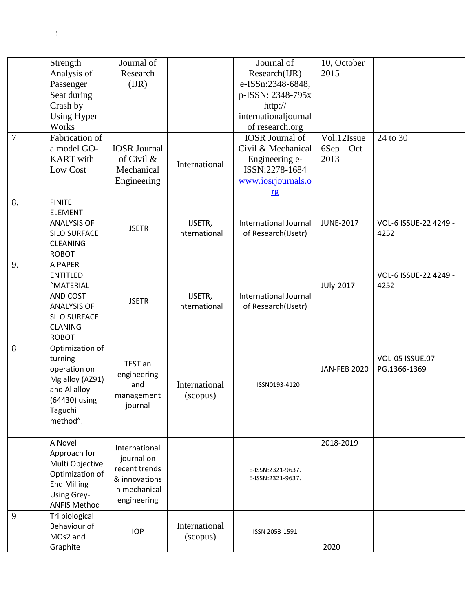| $\overline{7}$ | Strength<br>Analysis of<br>Passenger<br>Seat during<br>Crash by<br><b>Using Hyper</b><br>Works<br>Fabrication of<br>a model GO-    | Journal of<br>Research<br>(IR)<br><b>IOSR</b> Journal                                         |                           | Journal of<br>Research(IJR)<br>e-ISSn:2348-6848,<br>p-ISSN: 2348-795x<br>http://<br>internationaljournal<br>of research.org<br><b>IOSR</b> Journal of<br>Civil & Mechanical | 10, October<br>2015<br>Vol.12Issue<br>$6Sep - Oct$ | 24 to 30                        |
|----------------|------------------------------------------------------------------------------------------------------------------------------------|-----------------------------------------------------------------------------------------------|---------------------------|-----------------------------------------------------------------------------------------------------------------------------------------------------------------------------|----------------------------------------------------|---------------------------------|
|                | <b>KART</b> with<br>Low Cost                                                                                                       | of Civil &<br>Mechanical<br>Engineering                                                       | International             | Engineering e-<br>ISSN:2278-1684<br>www.iosrjournals.o<br>r <sub>g</sub>                                                                                                    | 2013                                               |                                 |
| 8.             | <b>FINITE</b><br><b>ELEMENT</b><br><b>ANALYSIS OF</b><br><b>SILO SURFACE</b><br><b>CLEANING</b><br><b>ROBOT</b>                    | <b>IJSETR</b>                                                                                 | IJSETR,<br>International  | <b>International Journal</b><br>of Research(IJsetr)                                                                                                                         | <b>JUNE-2017</b>                                   | VOL-6 ISSUE-22 4249 -<br>4252   |
| 9.             | A PAPER<br><b>ENTITLED</b><br>"MATERIAL<br>AND COST<br><b>ANALYSIS OF</b><br><b>SILO SURFACE</b><br><b>CLANING</b><br><b>ROBOT</b> | <b>IJSETR</b>                                                                                 | IJSETR,<br>International  | International Journal<br>of Research(IJsetr)                                                                                                                                | JUly-2017                                          | VOL-6 ISSUE-22 4249 -<br>4252   |
| 8              | Optimization of<br>turning<br>operation on<br>Mg alloy (AZ91)<br>and Al alloy<br>(64430) using<br>Taguchi<br>method".              | TEST an<br>engineering<br>and<br>management<br>journal                                        | International<br>(scopus) | ISSN0193-4120                                                                                                                                                               | <b>JAN-FEB 2020</b>                                | VOL-05 ISSUE.07<br>PG.1366-1369 |
|                | A Novel<br>Approach for<br>Multi Objective<br>Optimization of<br><b>End Milling</b><br>Using Grey-<br><b>ANFIS Method</b>          | International<br>journal on<br>recent trends<br>& innovations<br>in mechanical<br>engineering |                           | E-ISSN:2321-9637.<br>E-ISSN:2321-9637.                                                                                                                                      | 2018-2019                                          |                                 |
| 9              | Tri biological<br>Behaviour of<br>MOs2 and<br>Graphite                                                                             | <b>IOP</b>                                                                                    | International<br>(scopus) | ISSN 2053-1591                                                                                                                                                              | 2020                                               |                                 |

 $\mathbb{R}^2$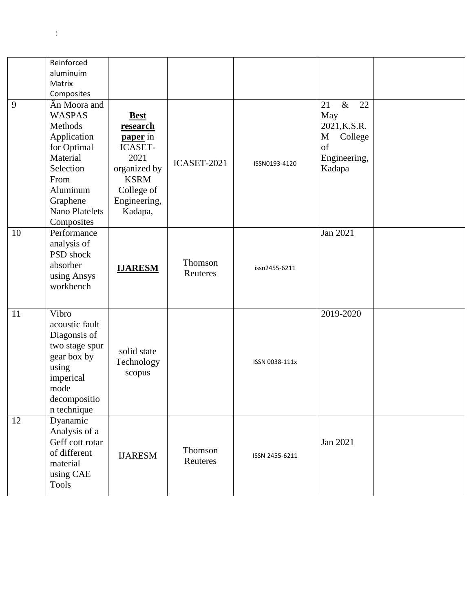|    | Reinforced                 |                                   |             |                |                  |  |
|----|----------------------------|-----------------------------------|-------------|----------------|------------------|--|
|    | aluminuim                  |                                   |             |                |                  |  |
|    | Matrix                     |                                   |             |                |                  |  |
| 9  | Composites<br>Än Moora and |                                   |             |                | 21<br>$\&$<br>22 |  |
|    | <b>WASPAS</b>              |                                   |             |                | May              |  |
|    | Methods                    | <b>Best</b><br><b>research</b>    |             | ISSN0193-4120  | 2021, K.S.R.     |  |
|    |                            |                                   |             |                | M                |  |
|    | Application                | <b>paper</b> in<br><b>ICASET-</b> |             |                | College<br>of    |  |
|    | for Optimal<br>Material    | 2021                              |             |                |                  |  |
|    | Selection                  | organized by                      | ICASET-2021 |                | Engineering,     |  |
|    | From                       | <b>KSRM</b>                       |             |                | Kadapa           |  |
|    | Aluminum                   |                                   |             |                |                  |  |
|    | Graphene                   | College of<br>Engineering,        |             |                |                  |  |
|    | <b>Nano Platelets</b>      | Kadapa,                           |             |                |                  |  |
|    | Composites                 |                                   |             |                |                  |  |
| 10 | Performance                |                                   |             |                | Jan 2021         |  |
|    | analysis of                |                                   |             |                |                  |  |
|    | PSD shock                  |                                   |             |                |                  |  |
|    | absorber                   | <b>IJARESM</b>                    | Thomson     | issn2455-6211  |                  |  |
|    | using Ansys                |                                   | Reuteres    |                |                  |  |
|    | workbench                  |                                   |             |                |                  |  |
|    |                            |                                   |             |                |                  |  |
| 11 | Vibro                      |                                   |             |                | 2019-2020        |  |
|    | acoustic fault             |                                   |             |                |                  |  |
|    | Diagonsis of               |                                   |             |                |                  |  |
|    | two stage spur             |                                   |             |                |                  |  |
|    | gear box by                | solid state                       |             |                |                  |  |
|    | using                      | Technology                        |             | ISSN 0038-111x |                  |  |
|    | imperical                  | scopus                            |             |                |                  |  |
|    | mode                       |                                   |             |                |                  |  |
|    | decompositio               |                                   |             |                |                  |  |
|    | n technique                |                                   |             |                |                  |  |
| 12 | Dyanamic                   |                                   |             |                |                  |  |
|    | Analysis of a              |                                   |             |                |                  |  |
|    | Geff cott rotar            |                                   |             |                | Jan 2021         |  |
|    | of different               | <b>IJARESM</b>                    | Thomson     | ISSN 2455-6211 |                  |  |
|    | material                   |                                   | Reuteres    |                |                  |  |
|    | using CAE                  |                                   |             |                |                  |  |
|    | <b>Tools</b>               |                                   |             |                |                  |  |
|    |                            |                                   |             |                |                  |  |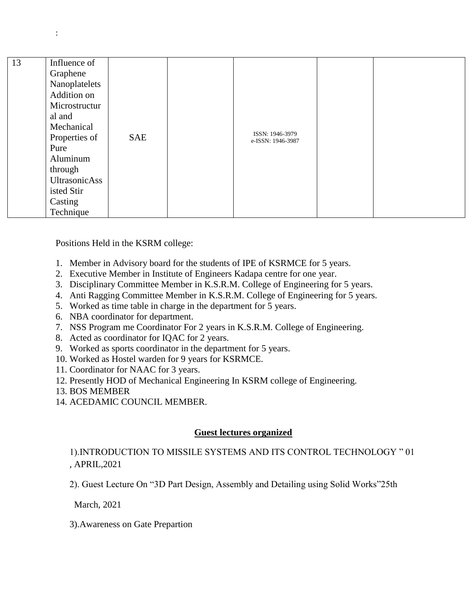| 13<br>isted Stir | Influence of<br>Graphene<br>Nanoplatelets<br>Addition on<br>Microstructur<br>al and<br>Mechanical<br>Properties of<br>Pure<br>Aluminum<br>through<br>UltrasonicAss | <b>SAE</b> |  | ISSN: 1946-3979<br>e-ISSN: 1946-3987 |  |  |
|------------------|--------------------------------------------------------------------------------------------------------------------------------------------------------------------|------------|--|--------------------------------------|--|--|
|------------------|--------------------------------------------------------------------------------------------------------------------------------------------------------------------|------------|--|--------------------------------------|--|--|

Positions Held in the KSRM college:

- 1. Member in Advisory board for the students of IPE of KSRMCE for 5 years.
- 2. Executive Member in Institute of Engineers Kadapa centre for one year.
- 3. Disciplinary Committee Member in K.S.R.M. College of Engineering for 5 years.
- 4. Anti Ragging Committee Member in K.S.R.M. College of Engineering for 5 years.
- 5. Worked as time table in charge in the department for 5 years.
- 6. NBA coordinator for department.
- 7. NSS Program me Coordinator For 2 years in K.S.R.M. College of Engineering.
- 8. Acted as coordinator for IQAC for 2 years.
- 9. Worked as sports coordinator in the department for 5 years.
- 10. Worked as Hostel warden for 9 years for KSRMCE.
- 11. Coordinator for NAAC for 3 years.
- 12. Presently HOD of Mechanical Engineering In KSRM college of Engineering.
- 13. BOS MEMBER
- 14. ACEDAMIC COUNCIL MEMBER.

### **Guest lectures organized**

1).INTRODUCTION TO MISSILE SYSTEMS AND ITS CONTROL TECHNOLOGY " 01 , APRIL,2021

2). Guest Lecture On "3D Part Design, Assembly and Detailing using Solid Works"25th

March, 2021

3).Awareness on Gate Prepartion

: